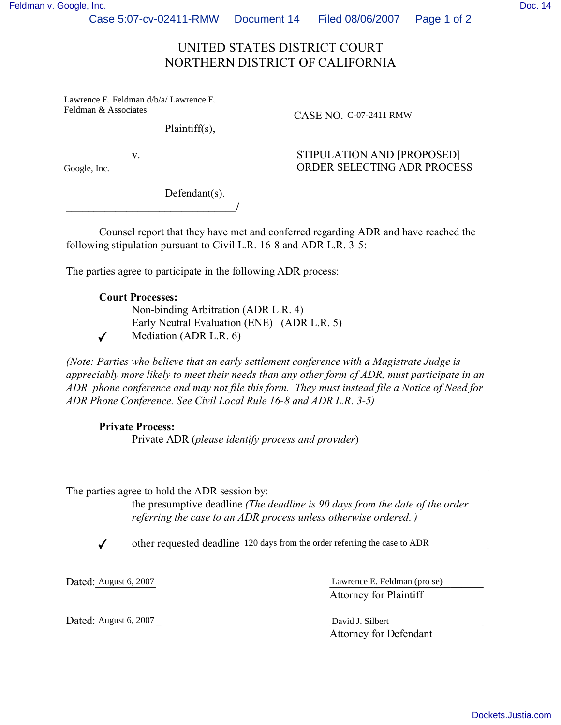Case 5:07-cv-02411-RMW Document 14 Filed 08/06/2007 Page 1 of 2

## UNITED STATES DISTRICT COURT NORTHERN DISTRICT OF CALIFORNIA

Lawrence E. Feldman d/b/a/ Lawrence E. Feldman & Associates

Plaintiff(s),

CASE NO. C-07-2411 RMW

Google, Inc.

v. STIPULATION AND [PROPOSED] ORDER SELECTING ADR PROCESS

Defendant(s). **\_\_\_\_\_\_\_\_\_\_\_\_\_\_\_\_\_\_\_\_\_\_\_\_\_\_\_\_\_\_\_/**

Counsel report that they have met and conferred regarding ADR and have reached the following stipulation pursuant to Civil L.R. 16-8 and ADR L.R. 3-5:

The parties agree to participate in the following ADR process:

## **Court Processes:** -

 Non-binding Arbitration (ADR L.R. 4) Early Neutral Evaluation (ENE) (ADR L.R. 5) -✔ Mediation (ADR L.R. 6)

*(Note: Parties who believe that an early settlement conference with a Magistrate Judge is appreciably more likely to meet their needs than any other form of ADR, must participate in an ADR phone conference and may not file this form. They must instead file a Notice of Need for ADR Phone Conference. See Civil Local Rule 16-8 and ADR L.R. 3-5)* 

 $\mathcal{L}_\mathcal{L} = \{ \mathcal{L}_\mathcal{L} = \{ \mathcal{L}_\mathcal{L} = \{ \mathcal{L}_\mathcal{L} = \{ \mathcal{L}_\mathcal{L} = \{ \mathcal{L}_\mathcal{L} = \{ \mathcal{L}_\mathcal{L} = \{ \mathcal{L}_\mathcal{L} = \{ \mathcal{L}_\mathcal{L} = \{ \mathcal{L}_\mathcal{L} = \{ \mathcal{L}_\mathcal{L} = \{ \mathcal{L}_\mathcal{L} = \{ \mathcal{L}_\mathcal{L} = \{ \mathcal{L}_\mathcal{L} = \{ \mathcal{L}_\mathcal{$ 

## **Private Process:**

Private ADR (*please identify process and provider*) \_\_\_\_\_\_\_\_\_\_\_\_\_\_\_\_\_\_\_\_\_\_

The parties agree to hold the ADR session by:

 the presumptive deadline *(The deadline is 90 days from the date of the order referring the case to an ADR process unless otherwise ordered*. *)*

 $\checkmark$ ↓ other requested deadline 120 days from the order referring the case to ADR

Dated: August 6, 2007

Dated: August 6, 2007 Lawrence E. Feldman (pro se) Attorney for Plaintiff

Dated: August 6, 2007 Attorney for Defendant David J. Silbert